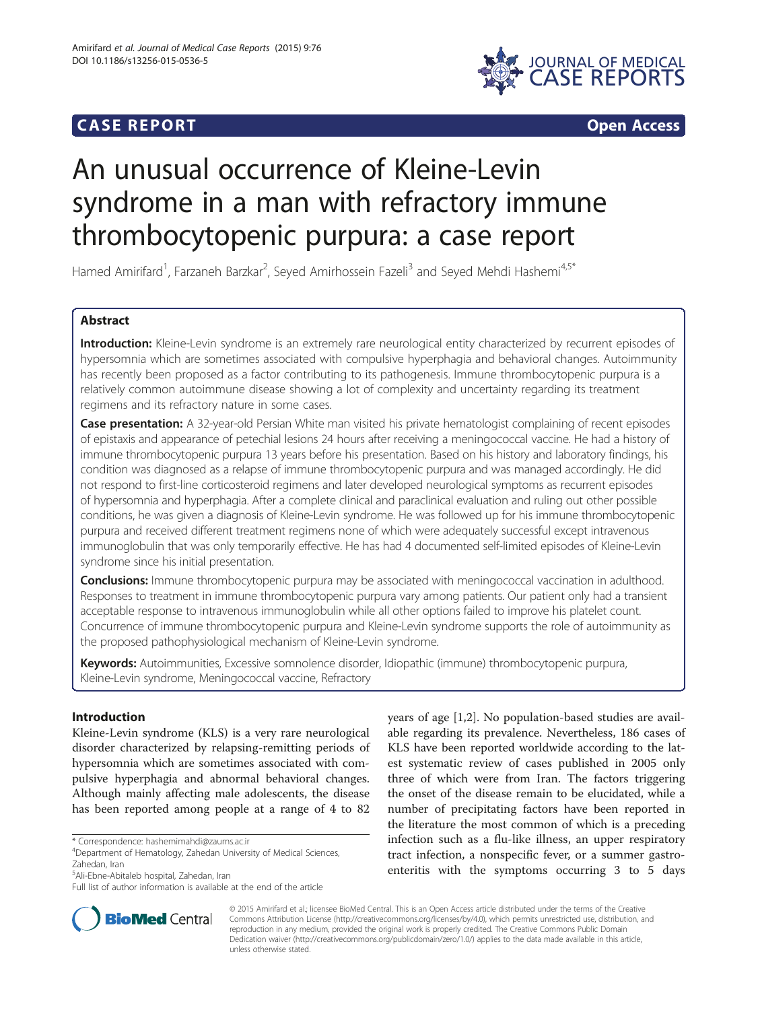## **CASE REPORT CASE REPORT**



# An unusual occurrence of Kleine-Levin syndrome in a man with refractory immune thrombocytopenic purpura: a case report

Hamed Amirifard<sup>1</sup>, Farzaneh Barzkar<sup>2</sup>, Seyed Amirhossein Fazeli<sup>3</sup> and Seyed Mehdi Hashemi<sup>4,5\*</sup>

## Abstract

Introduction: Kleine-Levin syndrome is an extremely rare neurological entity characterized by recurrent episodes of hypersomnia which are sometimes associated with compulsive hyperphagia and behavioral changes. Autoimmunity has recently been proposed as a factor contributing to its pathogenesis. Immune thrombocytopenic purpura is a relatively common autoimmune disease showing a lot of complexity and uncertainty regarding its treatment regimens and its refractory nature in some cases.

Case presentation: A 32-year-old Persian White man visited his private hematologist complaining of recent episodes of epistaxis and appearance of petechial lesions 24 hours after receiving a meningococcal vaccine. He had a history of immune thrombocytopenic purpura 13 years before his presentation. Based on his history and laboratory findings, his condition was diagnosed as a relapse of immune thrombocytopenic purpura and was managed accordingly. He did not respond to first-line corticosteroid regimens and later developed neurological symptoms as recurrent episodes of hypersomnia and hyperphagia. After a complete clinical and paraclinical evaluation and ruling out other possible conditions, he was given a diagnosis of Kleine-Levin syndrome. He was followed up for his immune thrombocytopenic purpura and received different treatment regimens none of which were adequately successful except intravenous immunoglobulin that was only temporarily effective. He has had 4 documented self-limited episodes of Kleine-Levin syndrome since his initial presentation.

**Conclusions:** Immune thrombocytopenic purpura may be associated with meningococcal vaccination in adulthood. Responses to treatment in immune thrombocytopenic purpura vary among patients. Our patient only had a transient acceptable response to intravenous immunoglobulin while all other options failed to improve his platelet count. Concurrence of immune thrombocytopenic purpura and Kleine-Levin syndrome supports the role of autoimmunity as the proposed pathophysiological mechanism of Kleine-Levin syndrome.

Keywords: Autoimmunities, Excessive somnolence disorder, Idiopathic (immune) thrombocytopenic purpura, Kleine-Levin syndrome, Meningococcal vaccine, Refractory

## Introduction

Kleine-Levin syndrome (KLS) is a very rare neurological disorder characterized by relapsing-remitting periods of hypersomnia which are sometimes associated with compulsive hyperphagia and abnormal behavioral changes. Although mainly affecting male adolescents, the disease has been reported among people at a range of 4 to 82

\* Correspondence: [hashemimahdi@zaums.ac.ir](mailto:hashemimahdi@zaums.ac.ir) <sup>4</sup>

5 Ali-Ebne-Abitaleb hospital, Zahedan, Iran

Full list of author information is available at the end of the article





© 2015 Amirifard et al.; licensee BioMed Central. This is an Open Access article distributed under the terms of the Creative Commons Attribution License [\(http://creativecommons.org/licenses/by/4.0\)](http://creativecommons.org/licenses/by/4.0), which permits unrestricted use, distribution, and reproduction in any medium, provided the original work is properly credited. The Creative Commons Public Domain Dedication waiver [\(http://creativecommons.org/publicdomain/zero/1.0/](http://creativecommons.org/publicdomain/zero/1.0/)) applies to the data made available in this article, unless otherwise stated.

Department of Hematology, Zahedan University of Medical Sciences, Zahedan, Iran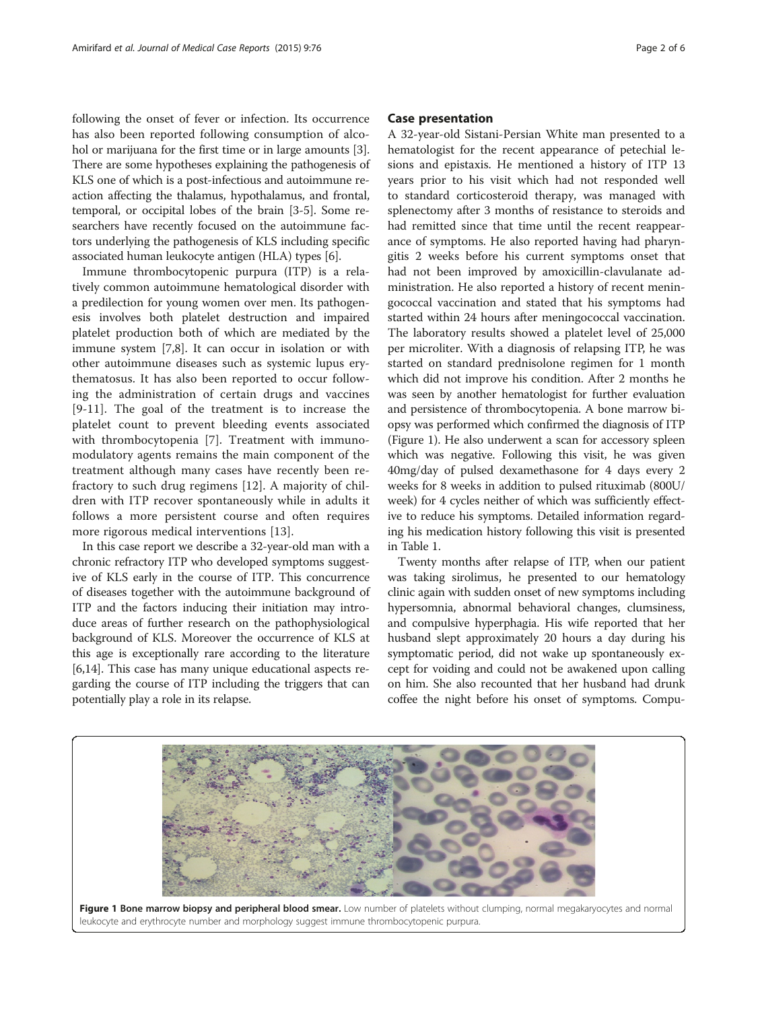following the onset of fever or infection. Its occurrence has also been reported following consumption of alcohol or marijuana for the first time or in large amounts [[3](#page-5-0)]. There are some hypotheses explaining the pathogenesis of KLS one of which is a post-infectious and autoimmune reaction affecting the thalamus, hypothalamus, and frontal, temporal, or occipital lobes of the brain [\[3](#page-5-0)-[5](#page-5-0)]. Some researchers have recently focused on the autoimmune factors underlying the pathogenesis of KLS including specific associated human leukocyte antigen (HLA) types [\[6](#page-5-0)].

Immune thrombocytopenic purpura (ITP) is a relatively common autoimmune hematological disorder with a predilection for young women over men. Its pathogenesis involves both platelet destruction and impaired platelet production both of which are mediated by the immune system [\[7,8](#page-5-0)]. It can occur in isolation or with other autoimmune diseases such as systemic lupus erythematosus. It has also been reported to occur following the administration of certain drugs and vaccines [[9-11\]](#page-5-0). The goal of the treatment is to increase the platelet count to prevent bleeding events associated with thrombocytopenia [\[7](#page-5-0)]. Treatment with immunomodulatory agents remains the main component of the treatment although many cases have recently been refractory to such drug regimens [\[12](#page-5-0)]. A majority of children with ITP recover spontaneously while in adults it follows a more persistent course and often requires more rigorous medical interventions [\[13\]](#page-5-0).

In this case report we describe a 32-year-old man with a chronic refractory ITP who developed symptoms suggestive of KLS early in the course of ITP. This concurrence of diseases together with the autoimmune background of ITP and the factors inducing their initiation may introduce areas of further research on the pathophysiological background of KLS. Moreover the occurrence of KLS at this age is exceptionally rare according to the literature [[6,14](#page-5-0)]. This case has many unique educational aspects regarding the course of ITP including the triggers that can potentially play a role in its relapse.

#### Case presentation

A 32-year-old Sistani-Persian White man presented to a hematologist for the recent appearance of petechial lesions and epistaxis. He mentioned a history of ITP 13 years prior to his visit which had not responded well to standard corticosteroid therapy, was managed with splenectomy after 3 months of resistance to steroids and had remitted since that time until the recent reappearance of symptoms. He also reported having had pharyngitis 2 weeks before his current symptoms onset that had not been improved by amoxicillin-clavulanate administration. He also reported a history of recent meningococcal vaccination and stated that his symptoms had started within 24 hours after meningococcal vaccination. The laboratory results showed a platelet level of 25,000 per microliter. With a diagnosis of relapsing ITP, he was started on standard prednisolone regimen for 1 month which did not improve his condition. After 2 months he was seen by another hematologist for further evaluation and persistence of thrombocytopenia. A bone marrow biopsy was performed which confirmed the diagnosis of ITP (Figure 1). He also underwent a scan for accessory spleen which was negative. Following this visit, he was given 40mg/day of pulsed dexamethasone for 4 days every 2 weeks for 8 weeks in addition to pulsed rituximab (800U/ week) for 4 cycles neither of which was sufficiently effective to reduce his symptoms. Detailed information regarding his medication history following this visit is presented in Table [1](#page-2-0).

Twenty months after relapse of ITP, when our patient was taking sirolimus, he presented to our hematology clinic again with sudden onset of new symptoms including hypersomnia, abnormal behavioral changes, clumsiness, and compulsive hyperphagia. His wife reported that her husband slept approximately 20 hours a day during his symptomatic period, did not wake up spontaneously except for voiding and could not be awakened upon calling on him. She also recounted that her husband had drunk coffee the night before his onset of symptoms. Compu-

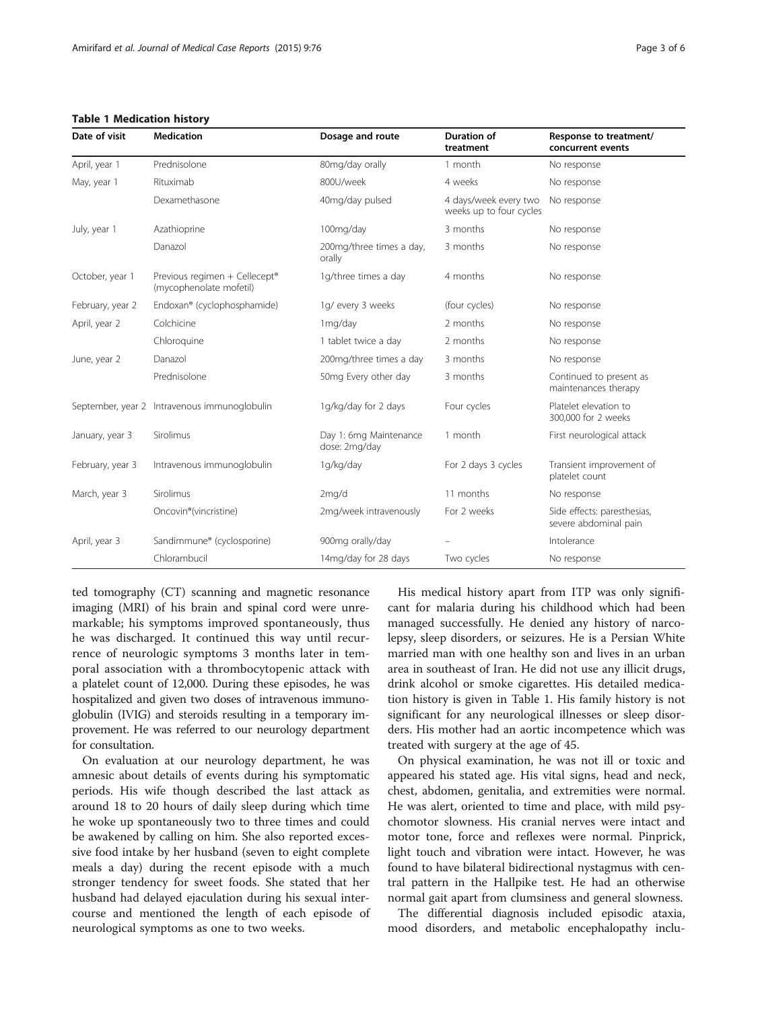#### <span id="page-2-0"></span>Table 1 Medication history

| Date of visit    | <b>Medication</b>                                        | Dosage and route                        | <b>Duration of</b><br>treatment                  | Response to treatment/<br>concurrent events          |
|------------------|----------------------------------------------------------|-----------------------------------------|--------------------------------------------------|------------------------------------------------------|
| April, year 1    | Prednisolone                                             | 80mg/day orally                         | 1 month                                          | No response                                          |
| May, year 1      | Rituximab                                                | 800U/week                               | 4 weeks                                          | No response                                          |
|                  | Dexamethasone                                            | 40mg/day pulsed                         | 4 days/week every two<br>weeks up to four cycles | No response                                          |
| July, year 1     | Azathioprine                                             | 100mg/day                               | 3 months                                         | No response                                          |
|                  | Danazol                                                  | 200mg/three times a day,<br>orally      | 3 months                                         | No response                                          |
| October, year 1  | Previous regimen + Cellecept®<br>(mycophenolate mofetil) | 1g/three times a day                    | 4 months                                         | No response                                          |
| February, year 2 | Endoxan® (cyclophosphamide)                              | 1g/ every 3 weeks                       | (four cycles)                                    | No response                                          |
| April, year 2    | Colchicine                                               | 1mg/day                                 | 2 months                                         | No response                                          |
|                  | Chloroquine                                              | 1 tablet twice a day                    | 2 months                                         | No response                                          |
| June, year 2     | Danazol                                                  | 200mg/three times a day                 | 3 months                                         | No response                                          |
|                  | Prednisolone                                             | 50mg Every other day                    | 3 months                                         | Continued to present as<br>maintenances therapy      |
|                  | September, year 2 Intravenous immunoglobulin             | 1g/kg/day for 2 days                    | Four cycles                                      | Platelet elevation to<br>300,000 for 2 weeks         |
| January, year 3  | Sirolimus                                                | Day 1: 6mg Maintenance<br>dose: 2mg/day | 1 month                                          | First neurological attack                            |
| February, year 3 | Intravenous immunoglobulin                               | 1g/kg/day                               | For 2 days 3 cycles                              | Transient improvement of<br>platelet count           |
| March, year 3    | Sirolimus                                                | 2mq/d                                   | 11 months                                        | No response                                          |
|                  | Oncovin <sup>®</sup> (vincristine)                       | 2mg/week intravenously                  | For 2 weeks                                      | Side effects: paresthesias,<br>severe abdominal pain |
| April, year 3    | Sandimmune® (cyclosporine)                               | 900mg orally/day                        |                                                  | Intolerance                                          |
|                  | Chlorambucil                                             | 14mg/day for 28 days                    | Two cycles                                       | No response                                          |

ted tomography (CT) scanning and magnetic resonance imaging (MRI) of his brain and spinal cord were unremarkable; his symptoms improved spontaneously, thus he was discharged. It continued this way until recurrence of neurologic symptoms 3 months later in temporal association with a thrombocytopenic attack with a platelet count of 12,000. During these episodes, he was hospitalized and given two doses of intravenous immunoglobulin (IVIG) and steroids resulting in a temporary improvement. He was referred to our neurology department for consultation.

On evaluation at our neurology department, he was amnesic about details of events during his symptomatic periods. His wife though described the last attack as around 18 to 20 hours of daily sleep during which time he woke up spontaneously two to three times and could be awakened by calling on him. She also reported excessive food intake by her husband (seven to eight complete meals a day) during the recent episode with a much stronger tendency for sweet foods. She stated that her husband had delayed ejaculation during his sexual intercourse and mentioned the length of each episode of neurological symptoms as one to two weeks.

His medical history apart from ITP was only significant for malaria during his childhood which had been managed successfully. He denied any history of narcolepsy, sleep disorders, or seizures. He is a Persian White married man with one healthy son and lives in an urban area in southeast of Iran. He did not use any illicit drugs, drink alcohol or smoke cigarettes. His detailed medication history is given in Table 1. His family history is not significant for any neurological illnesses or sleep disorders. His mother had an aortic incompetence which was treated with surgery at the age of 45.

On physical examination, he was not ill or toxic and appeared his stated age. His vital signs, head and neck, chest, abdomen, genitalia, and extremities were normal. He was alert, oriented to time and place, with mild psychomotor slowness. His cranial nerves were intact and motor tone, force and reflexes were normal. Pinprick, light touch and vibration were intact. However, he was found to have bilateral bidirectional nystagmus with central pattern in the Hallpike test. He had an otherwise normal gait apart from clumsiness and general slowness.

The differential diagnosis included episodic ataxia, mood disorders, and metabolic encephalopathy inclu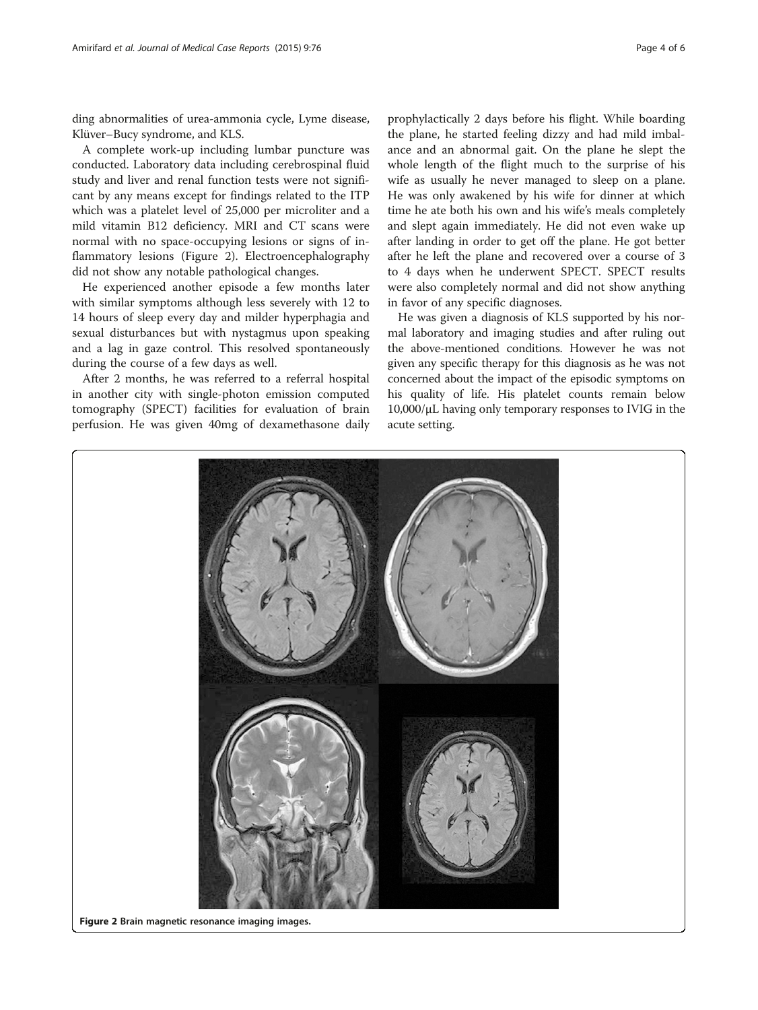ding abnormalities of urea-ammonia cycle, Lyme disease, Klüver–Bucy syndrome, and KLS.

A complete work-up including lumbar puncture was conducted. Laboratory data including cerebrospinal fluid study and liver and renal function tests were not significant by any means except for findings related to the ITP which was a platelet level of 25,000 per microliter and a mild vitamin B12 deficiency. MRI and CT scans were normal with no space-occupying lesions or signs of inflammatory lesions (Figure 2). Electroencephalography did not show any notable pathological changes.

He experienced another episode a few months later with similar symptoms although less severely with 12 to 14 hours of sleep every day and milder hyperphagia and sexual disturbances but with nystagmus upon speaking and a lag in gaze control. This resolved spontaneously during the course of a few days as well.

After 2 months, he was referred to a referral hospital in another city with single-photon emission computed tomography (SPECT) facilities for evaluation of brain perfusion. He was given 40mg of dexamethasone daily

prophylactically 2 days before his flight. While boarding the plane, he started feeling dizzy and had mild imbalance and an abnormal gait. On the plane he slept the whole length of the flight much to the surprise of his wife as usually he never managed to sleep on a plane. He was only awakened by his wife for dinner at which time he ate both his own and his wife's meals completely and slept again immediately. He did not even wake up after landing in order to get off the plane. He got better after he left the plane and recovered over a course of 3 to 4 days when he underwent SPECT. SPECT results were also completely normal and did not show anything in favor of any specific diagnoses.

He was given a diagnosis of KLS supported by his normal laboratory and imaging studies and after ruling out the above-mentioned conditions. However he was not given any specific therapy for this diagnosis as he was not concerned about the impact of the episodic symptoms on his quality of life. His platelet counts remain below 10,000/μL having only temporary responses to IVIG in the acute setting.



Figure 2 Brain magnetic resonance imaging images.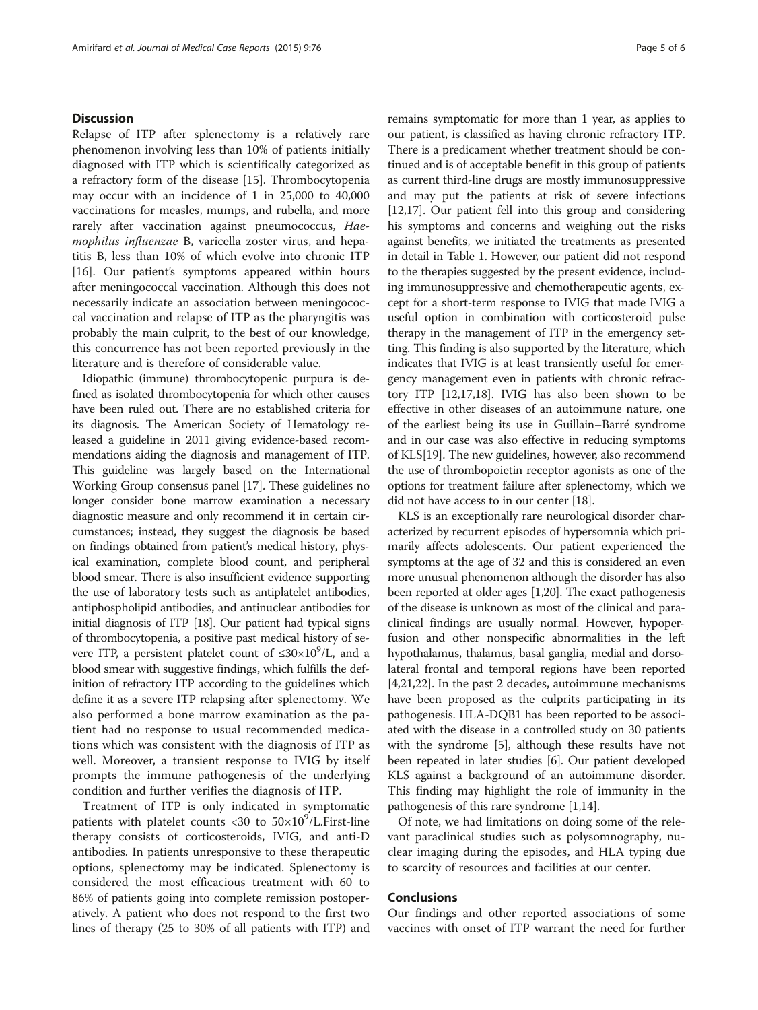#### **Discussion**

Relapse of ITP after splenectomy is a relatively rare phenomenon involving less than 10% of patients initially diagnosed with ITP which is scientifically categorized as a refractory form of the disease [[15\]](#page-5-0). Thrombocytopenia may occur with an incidence of 1 in 25,000 to 40,000 vaccinations for measles, mumps, and rubella, and more rarely after vaccination against pneumococcus, Haemophilus influenzae B, varicella zoster virus, and hepatitis B, less than 10% of which evolve into chronic ITP [[16\]](#page-5-0). Our patient's symptoms appeared within hours after meningococcal vaccination. Although this does not necessarily indicate an association between meningococcal vaccination and relapse of ITP as the pharyngitis was probably the main culprit, to the best of our knowledge, this concurrence has not been reported previously in the literature and is therefore of considerable value.

Idiopathic (immune) thrombocytopenic purpura is defined as isolated thrombocytopenia for which other causes have been ruled out. There are no established criteria for its diagnosis. The American Society of Hematology released a guideline in 2011 giving evidence-based recommendations aiding the diagnosis and management of ITP. This guideline was largely based on the International Working Group consensus panel [[17](#page-5-0)]. These guidelines no longer consider bone marrow examination a necessary diagnostic measure and only recommend it in certain circumstances; instead, they suggest the diagnosis be based on findings obtained from patient's medical history, physical examination, complete blood count, and peripheral blood smear. There is also insufficient evidence supporting the use of laboratory tests such as antiplatelet antibodies, antiphospholipid antibodies, and antinuclear antibodies for initial diagnosis of ITP [\[18](#page-5-0)]. Our patient had typical signs of thrombocytopenia, a positive past medical history of severe ITP, a persistent platelet count of  $\leq 30 \times 10^9$ /L, and a blood smear with suggestive findings, which fulfills the definition of refractory ITP according to the guidelines which define it as a severe ITP relapsing after splenectomy. We also performed a bone marrow examination as the patient had no response to usual recommended medications which was consistent with the diagnosis of ITP as well. Moreover, a transient response to IVIG by itself prompts the immune pathogenesis of the underlying condition and further verifies the diagnosis of ITP.

Treatment of ITP is only indicated in symptomatic patients with platelet counts <30 to  $50\times10^9$ /L. First-line therapy consists of corticosteroids, IVIG, and anti-D antibodies. In patients unresponsive to these therapeutic options, splenectomy may be indicated. Splenectomy is considered the most efficacious treatment with 60 to 86% of patients going into complete remission postoperatively. A patient who does not respond to the first two lines of therapy (25 to 30% of all patients with ITP) and remains symptomatic for more than 1 year, as applies to our patient, is classified as having chronic refractory ITP. There is a predicament whether treatment should be continued and is of acceptable benefit in this group of patients as current third-line drugs are mostly immunosuppressive and may put the patients at risk of severe infections [[12](#page-5-0),[17](#page-5-0)]. Our patient fell into this group and considering his symptoms and concerns and weighing out the risks against benefits, we initiated the treatments as presented in detail in Table [1.](#page-2-0) However, our patient did not respond to the therapies suggested by the present evidence, including immunosuppressive and chemotherapeutic agents, except for a short-term response to IVIG that made IVIG a useful option in combination with corticosteroid pulse therapy in the management of ITP in the emergency setting. This finding is also supported by the literature, which indicates that IVIG is at least transiently useful for emergency management even in patients with chronic refractory ITP [\[12,17,18](#page-5-0)]. IVIG has also been shown to be effective in other diseases of an autoimmune nature, one of the earliest being its use in Guillain–Barré syndrome and in our case was also effective in reducing symptoms of KLS[\[19\]](#page-5-0). The new guidelines, however, also recommend the use of thrombopoietin receptor agonists as one of the options for treatment failure after splenectomy, which we did not have access to in our center [[18](#page-5-0)].

KLS is an exceptionally rare neurological disorder characterized by recurrent episodes of hypersomnia which primarily affects adolescents. Our patient experienced the symptoms at the age of 32 and this is considered an even more unusual phenomenon although the disorder has also been reported at older ages [\[1,20\]](#page-5-0). The exact pathogenesis of the disease is unknown as most of the clinical and paraclinical findings are usually normal. However, hypoperfusion and other nonspecific abnormalities in the left hypothalamus, thalamus, basal ganglia, medial and dorsolateral frontal and temporal regions have been reported [[4,21,22](#page-5-0)]. In the past 2 decades, autoimmune mechanisms have been proposed as the culprits participating in its pathogenesis. HLA-DQB1 has been reported to be associated with the disease in a controlled study on 30 patients with the syndrome [[5](#page-5-0)], although these results have not been repeated in later studies [[6\]](#page-5-0). Our patient developed KLS against a background of an autoimmune disorder. This finding may highlight the role of immunity in the pathogenesis of this rare syndrome [[1,14](#page-5-0)].

Of note, we had limitations on doing some of the relevant paraclinical studies such as polysomnography, nuclear imaging during the episodes, and HLA typing due to scarcity of resources and facilities at our center.

#### Conclusions

Our findings and other reported associations of some vaccines with onset of ITP warrant the need for further